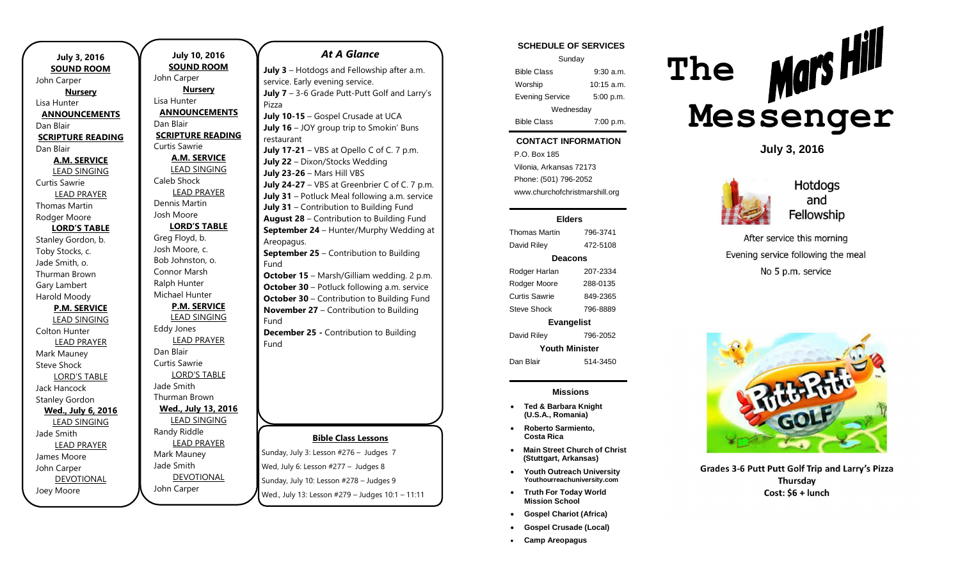| <b>July 3, 2016</b>      |
|--------------------------|
| <b>SOUND ROOM</b>        |
| John Carper              |
| <b>Nursery</b>           |
| Lisa Hunter              |
| <b>ANNOUNCEMENTS</b>     |
| Dan Blair                |
| <b>SCRIPTURE READING</b> |
| Dan Blair                |
| <u>A.M. SERVICE</u>      |
| <b>LEAD SINGING</b>      |
| <b>Curtis Sawrie</b>     |
| <b>LEAD PRAYER</b>       |
| <b>Thomas Martin</b>     |
| Rodger Moore             |
| <b>LORD'S TABLE</b>      |
| Stanley Gordon, b.       |
| Toby Stocks, c.          |
| Jade Smith, o.           |
| <b>Thurman Brown</b>     |
| Gary Lambert             |
| Harold Moody             |
| <b>P.M. SERVICE</b>      |
| <b>LEAD SINGING</b>      |
| Colton Hunter            |
| <b>LEAD PRAYER</b>       |
| Mark Mauney              |
| <b>Steve Shock</b>       |
| <b>LORD'S TABLE</b>      |
| <b>Jack Hancock</b>      |
| <b>Stanley Gordon</b>    |
| Wed., July 6, 2016       |
| <b>LEAD SINGING</b>      |
| Jade Smith               |
| <b>LEAD PRAYER</b>       |
| James Moore              |
| John Carper              |
| <b>DEVOTIONAL</b>        |
| Joey Moore               |

**July 10, 2016 SOUND ROOM** John Carper **Nursery** Lisa Hunter **ANNOUNCEMENTS** Dan Blair **SCRIPTURE READING** Curtis Sawrie **A.M. SERVICE** LEAD SINGING Caleb Shock LEAD PRAYER Dennis Martin Josh Moore **LORD'S TABLE** Greg Floyd, b. Josh Moore, c. Bob Johnston, o. Connor Marsh Ralph Hunter Michael Hunter **P.M. SERVICE** LEAD SINGING Eddy Jones LEAD PRAYER Dan Blair Curtis Sawrie LORD'S TABLE Jade Smith Thurman Brown **Wed., July 13, 2016** LEAD SINGING Randy Riddle LEAD PRAYER Mark Mauney Jade Smith

DEVOTIONAL

John Carper

### *At A Glance*

**July 3** – Hotdogs and Fellowship after a.m. service. Early evening service. **July 7** – 3-6 Grade Putt-Putt Golf and Larry's Pizza **July 10-15** – Gospel Crusade at UCA **July 16** – JOY group trip to Smokin' Buns restaurant **July 17-21** – VBS at Opello C of C. 7 p.m. **July 22** – Dixon/Stocks Wedding **July 23-26** – Mars Hill VBS **July 24-27** – VBS at Greenbrier C of C. 7 p.m. **July 31** – Potluck Meal following a.m. service **July 31** – Contribution to Building Fund **August 28** – Contribution to Building Fund **September 24** – Hunter/Murphy Wedding at Areopagus. **September 25** – Contribution to Building

### Fund **October 15** – Marsh/Gilliam wedding. 2 p.m. **October 30** – Potluck following a.m. service

**October 30** – Contribution to Building Fund **November 27** – Contribution to Building Fund

**December 25 -** Contribution to Building Fund

### **Bible Class Lessons**

Sunday, July 3: Lesson #276 – Judges 7 Wed, July 6: Lesson #277 – Judges 8 Sunday, July 10: Lesson #278 – Judges 9 Wed., July 13: Lesson #279 – Judges 10:1 – 11:11

#### **SCHEDULE OF SERVICES**

| Sunday                 |              |  |
|------------------------|--------------|--|
| <b>Bible Class</b>     | $9:30$ a.m.  |  |
| Worship                | $10:15$ a.m. |  |
| <b>Evening Service</b> | 5:00 p.m.    |  |
| Wednesday              |              |  |
| <b>Bible Class</b>     | 7:00 p.m.    |  |

#### **CONTACT INFORMATION**

Tuesday  $\mathcal{L}$ . Dex Foo a.m. Vilonia, Arkansas 72173 P.O. Box 185 Phone: (501) 796-2052 www.churchofchristmarshill.org

#### **Elders**

Thomas Martin 796-3741 David Riley 472-5108 **Deacons** Rodger Harlan 207-2334 Rodger Moore 288-0135 Curtis Sawrie 849-2365 Steve Shock 796-8889 **Evangelist** David Riley 796-2052 **Youth Minister**

Dan Blair 514-3450

#### **Missions**

- **Ted & Barbara Knight (U.S.A., Romania)**
- **Roberto Sarmiento, Costa Rica**
- **Main Street Church of Christ (Stuttgart, Arkansas)**
- **Youth Outreach University Youthourreachuniversity.com**
- **Truth For Today World Mission School**
- **Gospel Chariot (Africa)**
- **Gospel Crusade (Local)**
- **Camp Areopagus**



**July 3, 2016**



**Hotdogs** and Fellowship

After service this morning Evening service following the meal No 5 p.m. service



Grades 3-6 Putt Putt Golf Trip and Larry's Pizza Thursday Cost: \$6 + lunch